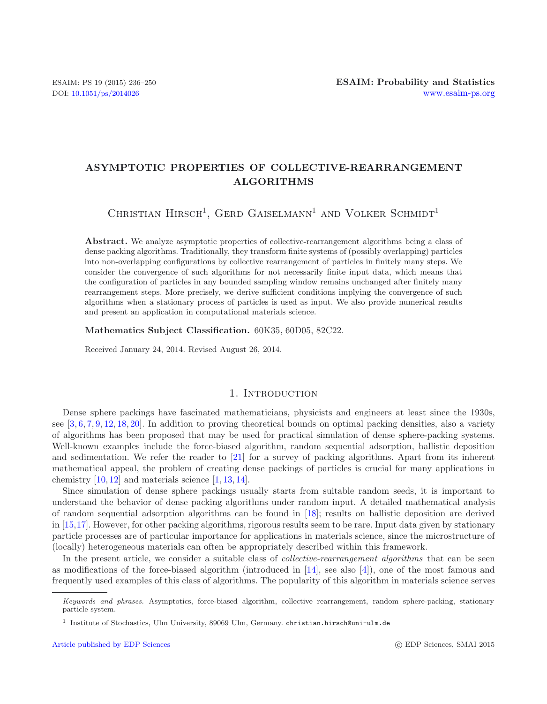# **ASYMPTOTIC PROPERTIES OF COLLECTIVE-REARRANGEMENT ALGORITHMS**

CHRISTIAN HIRSCH<sup>1</sup>, GERD GAISELMANN<sup>1</sup> AND VOLKER SCHMIDT<sup>1</sup>

Abstract. We analyze asymptotic properties of collective-rearrangement algorithms being a class of dense packing algorithms. Traditionally, they transform finite systems of (possibly overlapping) particles into non-overlapping configurations by collective rearrangement of particles in finitely many steps. We consider the convergence of such algorithms for not necessarily finite input data, which means that the configuration of particles in any bounded sampling window remains unchanged after finitely many rearrangement steps. More precisely, we derive sufficient conditions implying the convergence of such algorithms when a stationary process of particles is used as input. We also provide numerical results and present an application in computational materials science.

**Mathematics Subject Classification.** 60K35, 60D05, 82C22.

Received January 24, 2014. Revised August 26, 2014.

# 1. INTRODUCTION

<span id="page-0-0"></span>Dense sphere packings have fascinated mathematicians, physicists and engineers at least since the 1930s, see  $[3, 6, 7, 9, 12, 18, 20]$  $[3, 6, 7, 9, 12, 18, 20]$  $[3, 6, 7, 9, 12, 18, 20]$  $[3, 6, 7, 9, 12, 18, 20]$  $[3, 6, 7, 9, 12, 18, 20]$  $[3, 6, 7, 9, 12, 18, 20]$  $[3, 6, 7, 9, 12, 18, 20]$  $[3, 6, 7, 9, 12, 18, 20]$  $[3, 6, 7, 9, 12, 18, 20]$  $[3, 6, 7, 9, 12, 18, 20]$  $[3, 6, 7, 9, 12, 18, 20]$  $[3, 6, 7, 9, 12, 18, 20]$  $[3, 6, 7, 9, 12, 18, 20]$ . In addition to proving theoretical bounds on optimal packing densities, also a variety of algorithms has been proposed that may be used for practical simulation of dense sphere-packing systems. Well-known examples include the force-biased algorithm, random sequential adsorption, ballistic deposition and sedimentation. We refer the reader to [\[21\]](#page-14-7) for a survey of packing algorithms. Apart from its inherent mathematical appeal, the problem of creating dense packings of particles is crucial for many applications in chemistry  $[10, 12]$  $[10, 12]$  $[10, 12]$  and materials science  $[1, 13, 14]$  $[1, 13, 14]$  $[1, 13, 14]$  $[1, 13, 14]$  $[1, 13, 14]$ .

Since simulation of dense sphere packings usually starts from suitable random seeds, it is important to understand the behavior of dense packing algorithms under random input. A detailed mathematical analysis of random sequential adsorption algorithms can be found in [\[18](#page-14-5)]; results on ballistic deposition are derived in [\[15](#page-14-11)[,17\]](#page-14-12). However, for other packing algorithms, rigorous results seem to be rare. Input data given by stationary particle processes are of particular importance for applications in materials science, since the microstructure of (locally) heterogeneous materials can often be appropriately described within this framework.

In the present article, we consider a suitable class of *collective-rearrangement algorithms* that can be seen as modifications of the force-biased algorithm (introduced in [\[14\]](#page-14-10), see also [\[4](#page-14-13)]), one of the most famous and frequently used examples of this class of algorithms. The popularity of this algorithm in materials science serves

*Keywords and phrases.* Asymptotics, force-biased algorithm, collective rearrangement, random sphere-packing, stationary particle system.

<sup>1</sup> Institute of Stochastics, Ulm University, 89069 Ulm, Germany. christian.hirsch@uni-ulm.de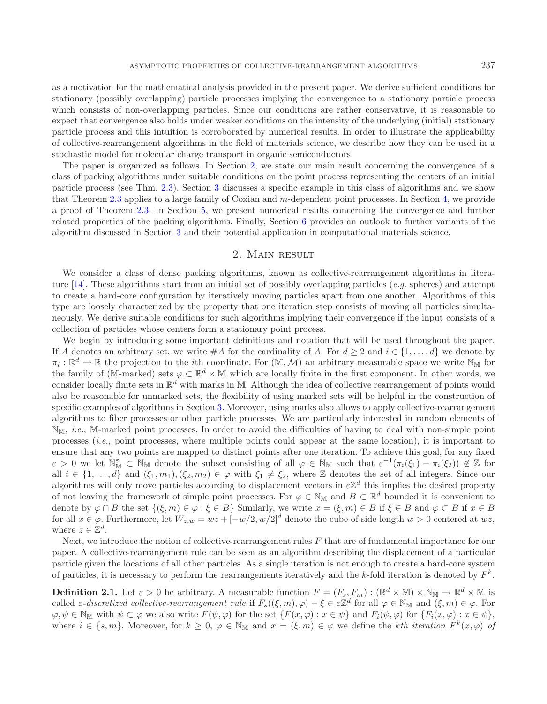as a motivation for the mathematical analysis provided in the present paper. We derive sufficient conditions for

stationary (possibly overlapping) particle processes implying the convergence to a stationary particle process which consists of non-overlapping particles. Since our conditions are rather conservative, it is reasonable to expect that convergence also holds under weaker conditions on the intensity of the underlying (initial) stationary particle process and this intuition is corroborated by numerical results. In order to illustrate the applicability of collective-rearrangement algorithms in the field of materials science, we describe how they can be used in a stochastic model for molecular charge transport in organic semiconductors.

The paper is organized as follows. In Section [2,](#page-1-0) we state our main result concerning the convergence of a class of packing algorithms under suitable conditions on the point process representing the centers of an initial particle process (see Thm. [2.3\)](#page-2-0). Section [3](#page-3-0) discusses a specific example in this class of algorithms and we show that Theorem [2.3](#page-2-0) applies to a large family of Coxian and m-dependent point processes. In Section [4,](#page-7-0) we provide a proof of Theorem [2.3.](#page-2-0) In Section [5,](#page-9-0) we present numerical results concerning the convergence and further related properties of the packing algorithms. Finally, Section [6](#page-11-0) provides an outlook to further variants of the algorithm discussed in Section [3](#page-3-0) and their potential application in computational materials science.

# 2. Main result

<span id="page-1-0"></span>We consider a class of dense packing algorithms, known as collective-rearrangement algorithms in literature [\[14](#page-14-10)]. These algorithms start from an initial set of possibly overlapping particles (*e.g.* spheres) and attempt to create a hard-core configuration by iteratively moving particles apart from one another. Algorithms of this type are loosely characterized by the property that one iteration step consists of moving all particles simultaneously. We derive suitable conditions for such algorithms implying their convergence if the input consists of a collection of particles whose centers form a stationary point process.

We begin by introducing some important definitions and notation that will be used throughout the paper. If A denotes an arbitrary set, we write #A for the cardinality of A. For  $d \geq 2$  and  $i \in \{1, \ldots, d\}$  we denote by  $\pi_i : \mathbb{R}^d \to \mathbb{R}$  the projection to the *i*th coordinate. For  $(\mathbb{M}, \mathcal{M})$  an arbitrary measurable space we write  $\mathbb{N}_{\mathbb{M}}$  for the family of (M-marked) sets  $\varphi \subset \mathbb{R}^d \times \mathbb{M}$  which are locally finite in the first component. In other words, we consider locally finite sets in  $\mathbb{R}^d$  with marks in M. Although the idea of collective rearrangement of points would also be reasonable for unmarked sets, the flexibility of using marked sets will be helpful in the construction of specific examples of algorithms in Section [3.](#page-3-0) Moreover, using marks also allows to apply collective-rearrangement algorithms to fiber processes or other particle processes. We are particularly interested in random elements of NM, *i.e.*, M-marked point processes. In order to avoid the difficulties of having to deal with non-simple point processes (*i.e.*, point processes, where multiple points could appear at the same location), it is important to ensure that any two points are mapped to distinct points after one iteration. To achieve this goal, for any fixed  $\varepsilon > 0$  we let  $\mathbb{N}_{\mathbb{M}}^{\varepsilon} \subset \mathbb{N}_{\mathbb{M}}$  denote the subset consisting of all  $\varphi \in \mathbb{N}_{\mathbb{M}}$  such that  $\varepsilon^{-1}(\pi_i(\xi_1) - \pi_i(\xi_2)) \notin \mathbb{Z}$  for all  $i \in \{1,\ldots,d\}$  and  $(\xi_1,m_1),(\xi_2,m_2) \in \varphi$  with  $\xi_1 \neq \xi_2$ , where  $\mathbb Z$  denotes the set of all integers. Since our algorithms will only move particles according to displacement vectors in  $\varepsilon \mathbb{Z}^d$  this implies the desired property of not leaving the framework of simple point processes. For  $\varphi \in \mathbb{N}_M$  and  $B \subset \mathbb{R}^d$  bounded it is convenient to denote by  $\varphi \cap B$  the set  $\{(\xi,m) \in \varphi : \xi \in B\}$  Similarly, we write  $x = (\xi,m) \in B$  if  $\xi \in B$  and  $\varphi \subset B$  if  $x \in B$ for all  $x \in \varphi$ . Furthermore, let  $W_{z,w} = wz + [-w/2, w/2]^d$  denote the cube of side length  $w > 0$  centered at  $wz$ , where  $z \in \mathbb{Z}^d$ .

Next, we introduce the notion of collective-rearrangement rules  $F$  that are of fundamental importance for our paper. A collective-rearrangement rule can be seen as an algorithm describing the displacement of a particular particle given the locations of all other particles. As a single iteration is not enough to create a hard-core system of particles, it is necessary to perform the rearrangements iteratively and the k-fold iteration is denoted by  $F^k$ .

**Definition 2.1.** Let  $\varepsilon > 0$  be arbitrary. A measurable function  $F = (F_s, F_m) : (\mathbb{R}^d \times \mathbb{M}) \times \mathbb{N}_M \to \mathbb{R}^d \times \mathbb{M}$  is called  $\varepsilon$ -discretized collective-rearrangement rule if  $F_s((\xi,m),\varphi) - \xi \in \varepsilon \mathbb{Z}^d$  for all  $\varphi \in \mathbb{N}_M$  and  $(\xi,m) \in \varphi$ . For  $\varphi, \psi \in \mathbb{N}_\mathbb{M}$  with  $\psi \subset \varphi$  we also write  $F(\psi, \varphi)$  for the set  $\{F(x, \varphi) : x \in \psi\}$  and  $F_i(\psi, \varphi)$  for  $\{F_i(x, \varphi) : x \in \psi\}$ , where  $i \in \{s, m\}$ . Moreover, for  $k \geq 0$ ,  $\varphi \in \mathbb{N}_{\mathbb{M}}$  and  $x = (\xi, m) \in \varphi$  we define the kth iteration  $F^k(x, \varphi)$  of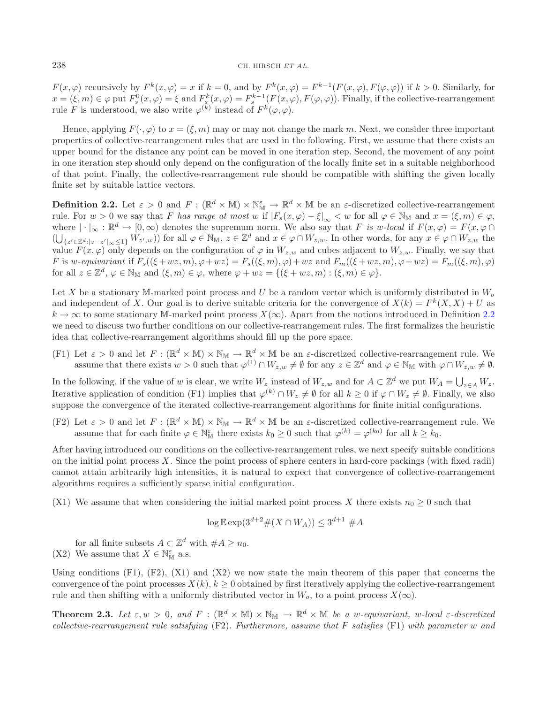$F(x,\varphi)$  recursively by  $F^k(x,\varphi) = x$  if  $k = 0$ , and by  $F^k(x,\varphi) = F^{k-1}(F(x,\varphi), F(\varphi, \varphi))$  if  $k > 0$ . Similarly, for  $x = (\xi, m) \in \varphi$  put  $F_s^0(x, \varphi) = \xi$  and  $F_s^k(x, \varphi) = F_s^{k-1}(F(x, \varphi), F(\varphi, \varphi))$ . Finally, if the collective-rearrangement rule F is understood, we also write  $\varphi^{(k)}$  instead of  $F^k(\varphi, \varphi)$ .

Hence, applying  $F(\cdot, \varphi)$  to  $x = (\xi, m)$  may or may not change the mark m. Next, we consider three important properties of collective-rearrangement rules that are used in the following. First, we assume that there exists an upper bound for the distance any point can be moved in one iteration step. Second, the movement of any point in one iteration step should only depend on the configuration of the locally finite set in a suitable neighborhood of that point. Finally, the collective-rearrangement rule should be compatible with shifting the given locally finite set by suitable lattice vectors.

<span id="page-2-1"></span>**Definition 2.2.** Let  $\varepsilon > 0$  and  $F : (\mathbb{R}^d \times \mathbb{M}) \times \mathbb{N}_{\mathbb{M}}^{\varepsilon} \to \mathbb{R}^d \times \mathbb{M}$  be an  $\varepsilon$ -discretized collective-rearrangement rule. For  $w > 0$  we say that F *has range at most* w if  $|F_s(x, \varphi) - \xi|_{\infty} < w$  for all  $\varphi \in \mathbb{N}_M$  and  $x = (\xi, m) \in \varphi$ , where  $|\cdot|_{\infty} : \mathbb{R}^d \to [0, \infty)$  denotes the supremum norm. We also say that F is w-local if  $F(x, \varphi) = F(x, \varphi \cap \varphi)$  $(\bigcup_{\{z' \in \mathbb{Z}^d: |z-z'|_{\infty}\leq 1\}} W_{z',w})$  for all  $\varphi \in \mathbb{N}_\mathbb{M}$ ,  $z \in \mathbb{Z}^d$  and  $x \in \varphi \cap W_{z,w}$ . In other words, for any  $x \in \varphi \cap W_{z,w}$  the value  $F(x, \varphi)$  only depends on the configuration of  $\varphi$  in  $W_{z,w}$  and cubes adjacent to  $W_{z,w}$ . Finally, we say that F is w-equivariant if  $F_s((\xi+wz,m), \varphi+wz) = F_s((\xi,m), \varphi) + wz$  and  $F_m((\xi+wz,m), \varphi+wz) = F_m((\xi,m), \varphi)$ for all  $z \in \mathbb{Z}^d$ ,  $\varphi \in \mathbb{N}_M$  and  $(\xi, m) \in \varphi$ , where  $\varphi + wz = \{(\xi + wz, m) : (\xi, m) \in \varphi\}.$ 

Let X be a stationary M-marked point process and U be a random vector which is uniformly distributed in  $W_o$ and independent of X. Our goal is to derive suitable criteria for the convergence of  $X(k) = F^k(X, X) + U$  as  $k \to \infty$  to some stationary M-marked point process  $X(\infty)$ . Apart from the notions introduced in Definition [2.2](#page-2-1) we need to discuss two further conditions on our collective-rearrangement rules. The first formalizes the heuristic idea that collective-rearrangement algorithms should fill up the pore space.

(F1) Let  $\varepsilon > 0$  and let  $F : (\mathbb{R}^d \times \mathbb{M}) \times \mathbb{N}_{\mathbb{M}} \to \mathbb{R}^d \times \mathbb{M}$  be an  $\varepsilon$ -discretized collective-rearrangement rule. We assume that there exists  $w > 0$  such that  $\varphi^{(1)} \cap W_{z,w} \neq \emptyset$  for any  $z \in \mathbb{Z}^d$  and  $\varphi \in \mathbb{N}_M$  with  $\varphi \cap W_{z,w} \neq \emptyset$ .

In the following, if the value of w is clear, we write  $W_z$  instead of  $W_{z,w}$  and for  $A \subset \mathbb{Z}^d$  we put  $W_A = \bigcup_{z \in A} W_z$ . Iterative application of condition (F1) implies that  $\varphi^{(k)} \cap W_z \neq \emptyset$  for all  $k \geq 0$  if  $\varphi \cap W_z \neq \emptyset$ . Finally, we also suppose the convergence of the iterated collective-rearrangement algorithms for finite initial configurations.

(F2) Let  $\varepsilon > 0$  and let  $F : (\mathbb{R}^d \times \mathbb{M}) \times \mathbb{N}_\mathbb{M} \to \mathbb{R}^d \times \mathbb{M}$  be an  $\varepsilon$ -discretized collective-rearrangement rule. We assume that for each finite  $\varphi \in \mathbb{N}_{\mathbb{M}}^{\varepsilon}$  there exists  $k_0 \geq 0$  such that  $\varphi^{(k)} = \varphi^{(k_0)}$  for all  $k \geq k_0$ .

After having introduced our conditions on the collective-rearrangement rules, we next specify suitable conditions on the initial point process  $X$ . Since the point process of sphere centers in hard-core packings (with fixed radii) cannot attain arbitrarily high intensities, it is natural to expect that convergence of collective-rearrangement algorithms requires a sufficiently sparse initial configuration.

(X1) We assume that when considering the initial marked point process X there exists  $n_0 \geq 0$  such that

$$
\log \mathbb{E} \exp(3^{d+2} \# (X \cap W_A)) \le 3^{d+1} \# A
$$

for all finite subsets  $A \subset \mathbb{Z}^d$  with  $\#A \geq n_0$ . (X2) We assume that  $X \in \mathbb{N}_{\mathbb{M}}^{\varepsilon}$  a.s.

Using conditions  $(F1)$ ,  $(F2)$ ,  $(X1)$  and  $(X2)$  we now state the main theorem of this paper that concerns the convergence of the point processes  $X(k)$ ,  $k \geq 0$  obtained by first iteratively applying the collective-rearrangement rule and then shifting with a uniformly distributed vector in  $W_o$ , to a point process  $X(\infty)$ .

<span id="page-2-0"></span>**Theorem 2.3.** Let  $\varepsilon, w > 0$ , and  $F : (\mathbb{R}^d \times \mathbb{M}) \times \mathbb{N}_\mathbb{M} \to \mathbb{R}^d \times \mathbb{M}$  be a w-equivariant, w-local  $\varepsilon$ -discretized *collective-rearrangement rule satisfying* (F2)*. Furthermore, assume that* F *satisfies* (F1) *with parameter* w *and*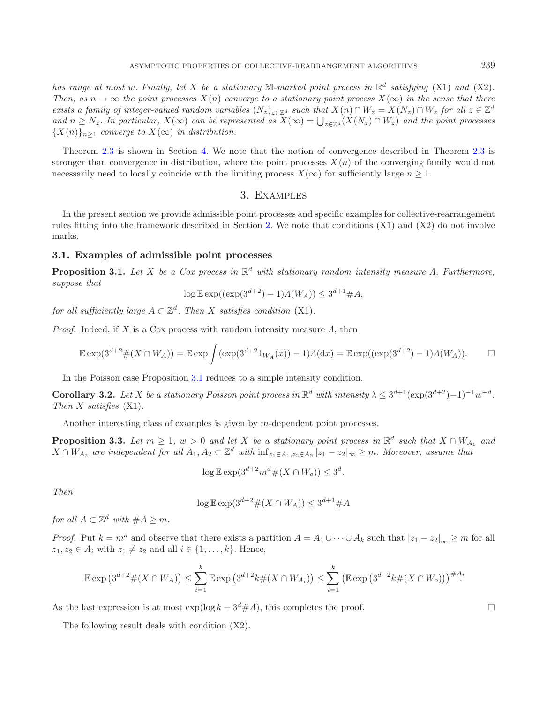*has range at most w. Finally, let* X *be a stationary* M-marked point process in  $\mathbb{R}^d$  satisfying (X1) and (X2). *Then, as*  $n \to \infty$  *the point processes*  $X(n)$  *converge to a stationary point process*  $X(\infty)$  *in the sense that there exists a family of integer-valued random variables*  $(N_z)_{z \in \mathbb{Z}^d}$  *such that*  $X(n) \cap W_z = X(N_z) \cap W_z$  *for all*  $z \in \mathbb{Z}^d$ and  $n \geq N_z$ . In particular,  $X(\infty)$  can be represented as  $X(\infty) = \bigcup_{z \in \mathbb{Z}^d} (X(N_z) \cap W_z)$  and the point processes  ${X(n)}_{n>1}$  *converge to*  $X(\infty)$  *in distribution.* 

<span id="page-3-0"></span>Theorem [2.3](#page-2-0) is shown in Section [4.](#page-7-0) We note that the notion of convergence described in Theorem [2.3](#page-2-0) is stronger than convergence in distribution, where the point processes  $X(n)$  of the converging family would not necessarily need to locally coincide with the limiting process  $X(\infty)$  for sufficiently large  $n \geq 1$ .

# <span id="page-3-2"></span>3. Examples

In the present section we provide admissible point processes and specific examples for collective-rearrangement rules fitting into the framework described in Section [2.](#page-1-0) We note that conditions (X1) and (X2) do not involve marks.

#### <span id="page-3-1"></span>**3.1. Examples of admissible point processes**

**Proposition 3.1.** *Let* X *be a Cox process in* R<sup>d</sup> *with stationary random intensity measure* Λ*. Furthermore, suppose that*

$$
\log \mathbb{E} \exp((\exp(3^{d+2}) - 1)A(W_A)) \le 3^{d+1} \# A,
$$

*for all sufficiently large*  $A \subset \mathbb{Z}^d$ *. Then* X *satisfies condition* (X1)*.* 

*Proof.* Indeed, if X is a Cox process with random intensity measure  $\Lambda$ , then

$$
\mathbb{E} \exp(3^{d+2} \#(X \cap W_A)) = \mathbb{E} \exp \int (\exp(3^{d+2} 1_{W_A}(x)) - 1) \Lambda(\mathrm{d}x) = \mathbb{E} \exp((\exp(3^{d+2}) - 1) \Lambda(W_A)). \qquad \Box
$$

In the Poisson case Proposition [3.1](#page-3-1) reduces to a simple intensity condition.

**Corollary 3.2.** *Let* X *be a stationary Poisson point process in*  $\mathbb{R}^d$  *with intensity*  $\lambda \leq 3^{d+1}(\exp(3^{d+2})-1)^{-1}w^{-d}$ . *Then* X *satisfies* (X1)*.*

Another interesting class of examples is given by m-dependent point processes.

**Proposition 3.3.** *Let*  $m \geq 1$ ,  $w > 0$  *and let* X *be a stationary point process in*  $\mathbb{R}^d$  *such that*  $X \cap W_{A_1}$  *and*  $X \cap W_{A_2}$  are independent for all  $A_1, A_2 \subset \mathbb{Z}^d$  with  $\inf_{z_1 \in A_1, z_2 \in A_2} |z_1 - z_2|_{\infty} \geq m$ . Moreover, assume that

$$
\log \mathbb{E} \exp(3^{d+2} m^d \# (X \cap W_o)) \le 3^d.
$$

*Then*

$$
\log \mathbb{E} \exp(3^{d+2} \# (X \cap W_A)) \le 3^{d+1} \# A
$$

*for all*  $A \subset \mathbb{Z}^d$  *with*  $\#A > m$ *.* 

*Proof.* Put  $k = m^d$  and observe that there exists a partition  $A = A_1 \cup \cdots \cup A_k$  such that  $|z_1 - z_2|_{\infty} \ge m$  for all  $z_1, z_2 \in A_i$  with  $z_1 \neq z_2$  and all  $i \in \{1, \ldots, k\}$ . Hence,

$$
\mathbb{E} \exp (3^{d+2} \# (X \cap W_A)) \leq \sum_{i=1}^k \mathbb{E} \exp (3^{d+2} k \# (X \cap W_{A_i})) \leq \sum_{i=1}^k (\mathbb{E} \exp (3^{d+2} k \# (X \cap W_0)))^{\# A_i}
$$

As the last expression is at most  $\exp(\log k + 3^d \# A)$ , this completes the proof.

The following result deals with condition (X2).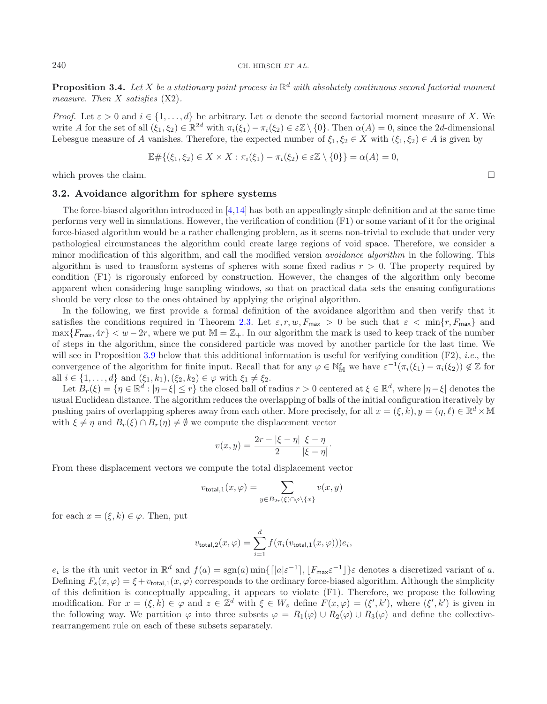**Proposition 3.4.** Let X be a stationary point process in  $\mathbb{R}^d$  with absolutely continuous second factorial moment *measure. Then* X *satisfies* (X2)*.*

*Proof.* Let  $\varepsilon > 0$  and  $i \in \{1, ..., d\}$  be arbitrary. Let  $\alpha$  denote the second factorial moment measure of X. We write A for the set of all  $(\xi_1, \xi_2) \in \mathbb{R}^{2d}$  with  $\pi_i(\xi_1) - \pi_i(\xi_2) \in \varepsilon \mathbb{Z} \setminus \{0\}$ . Then  $\alpha(A) = 0$ , since the 2d-dimensional Lebesgue measure of A vanishes. Therefore, the expected number of  $\xi_1, \xi_2 \in X$  with  $(\xi_1, \xi_2) \in A$  is given by

$$
\mathbb{E}\#\{(\xi_1,\xi_2)\in X\times X:\pi_i(\xi_1)-\pi_i(\xi_2)\in \varepsilon\mathbb{Z}\setminus\{0\}\}=\alpha(A)=0,
$$

<span id="page-4-0"></span>which proves the claim.

## **3.2. Avoidance algorithm for sphere systems**

The force-biased algorithm introduced in [\[4](#page-14-13)[,14](#page-14-10)] has both an appealingly simple definition and at the same time performs very well in simulations. However, the verification of condition (F1) or some variant of it for the original force-biased algorithm would be a rather challenging problem, as it seems non-trivial to exclude that under very pathological circumstances the algorithm could create large regions of void space. Therefore, we consider a minor modification of this algorithm, and call the modified version *avoidance algorithm* in the following. This algorithm is used to transform systems of spheres with some fixed radius  $r > 0$ . The property required by condition (F1) is rigorously enforced by construction. However, the changes of the algorithm only become apparent when considering huge sampling windows, so that on practical data sets the ensuing configurations should be very close to the ones obtained by applying the original algorithm.

In the following, we first provide a formal definition of the avoidance algorithm and then verify that it satisfies the conditions required in Theorem [2.3.](#page-2-0) Let  $\varepsilon, r, w, F_{\text{max}} > 0$  be such that  $\varepsilon < \min\{r, F_{\text{max}}\}$  and  $\max\{F_{\text{max}}, 4r\} < w-2r$ , where we put  $M = \mathbb{Z}_+$ . In our algorithm the mark is used to keep track of the number of steps in the algorithm, since the considered particle was moved by another particle for the last time. We will see in Proposition [3.9](#page-6-0) below that this additional information is useful for verifying condition (F2), *i.e.*, the convergence of the algorithm for finite input. Recall that for any  $\varphi \in \mathbb{N}_{\mathbb{M}}^{\varepsilon}$  we have  $\varepsilon^{-1}(\pi_i(\xi_1) - \pi_i(\xi_2)) \notin \mathbb{Z}$  for all  $i \in \{1, ..., d\}$  and  $(\xi_1, k_1), (\xi_2, k_2) \in \varphi$  with  $\xi_1 \neq \xi_2$ .

Let  $B_r(\xi) = \{\eta \in \mathbb{R}^d : |\eta - \xi| \leq r\}$  the closed ball of radius  $r > 0$  centered at  $\xi \in \mathbb{R}^d$ , where  $|\eta - \xi|$  denotes the usual Euclidean distance. The algorithm reduces the overlapping of balls of the initial configuration iteratively by pushing pairs of overlapping spheres away from each other. More precisely, for all  $x = (\xi, k)$ ,  $y = (\eta, \ell) \in \mathbb{R}^d \times \mathbb{M}$ with  $\xi \neq \eta$  and  $B_r(\xi) \cap B_r(\eta) \neq \emptyset$  we compute the displacement vector

$$
v(x,y) = \frac{2r - |\xi - \eta|}{2} \frac{\xi - \eta}{|\xi - \eta|}.
$$

From these displacement vectors we compute the total displacement vector

$$
v_{\text{total},1}(x,\varphi) = \sum_{y \in B_{2r}(\xi) \cap \varphi \backslash \{x\}} v(x,y)
$$

for each  $x = (\xi, k) \in \varphi$ . Then, put

$$
v_{\text{total},2}(x,\varphi) = \sum_{i=1}^d f(\pi_i(v_{\text{total},1}(x,\varphi)))e_i,
$$

 $e_i$  is the *i*th unit vector in  $\mathbb{R}^d$  and  $f(a) = \text{sgn}(a) \min\{\lceil |a|\varepsilon^{-1}\rceil, \lfloor F_{\text{max}}\varepsilon^{-1}\rfloor\}$  denotes a discretized variant of a. Defining  $F_s(x, \varphi) = \xi + v_{\text{total},1}(x, \varphi)$  corresponds to the ordinary force-biased algorithm. Although the simplicity of this definition is conceptually appealing, it appears to violate (F1). Therefore, we propose the following modification. For  $x = (\xi, k) \in \varphi$  and  $z \in \mathbb{Z}^d$  with  $\xi \in W_z$  define  $F(x, \varphi) = (\xi', k')$ , where  $(\xi', k')$  is given in the following way. We partition  $\varphi$  into three subsets  $\varphi = R_1(\varphi) \cup R_2(\varphi) \cup R_3(\varphi)$  and define the collectiverearrangement rule on each of these subsets separately.

 $\Box$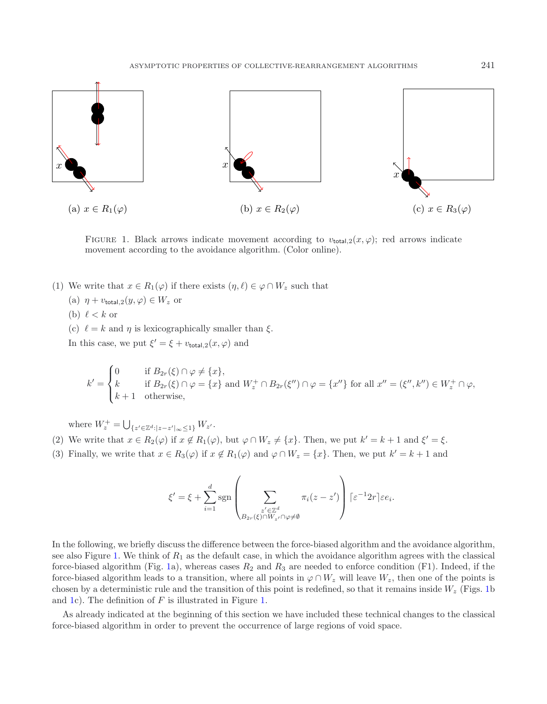<span id="page-5-0"></span>

FIGURE 1. Black arrows indicate movement according to  $v_{total,2}(x, \varphi)$ ; red arrows indicate movement according to the avoidance algorithm. (Color online).

- (1) We write that  $x \in R_1(\varphi)$  if there exists  $(\eta, \ell) \in \varphi \cap W_z$  such that
	- (a)  $\eta + v_{\text{total},2}(y,\varphi) \in W_z$  or
	- (b)  $\ell < k$  or
	- (c)  $\ell = k$  and  $\eta$  is lexicographically smaller than  $\xi$ .

In this case, we put  $\xi' = \xi + v_{\text{total},2}(x, \varphi)$  and

$$
k' = \begin{cases} 0 & \text{if } B_{2r}(\xi) \cap \varphi \neq \{x\}, \\ k & \text{if } B_{2r}(\xi) \cap \varphi = \{x\} \text{ and } W_z^+ \cap B_{2r}(\xi'') \cap \varphi = \{x''\} \text{ for all } x'' = (\xi'', k'') \in W_z^+ \cap \varphi, \\ k+1 & \text{otherwise,} \end{cases}
$$

where  $W_z^+ = \bigcup_{\{z' \in \mathbb{Z}^d : |z - z'| \in \mathbb{S}^1\}} W_{z'}.$ 

- (2) We write that  $x \in R_2(\varphi)$  if  $x \notin R_1(\varphi)$ , but  $\varphi \cap W_z \neq \{x\}$ . Then, we put  $k' = k + 1$  and  $\xi' = \xi$ .
- (3) Finally, we write that  $x \in R_3(\varphi)$  if  $x \notin R_1(\varphi)$  and  $\varphi \cap W_z = \{x\}$ . Then, we put  $k' = k + 1$  and

$$
\xi' = \xi + \sum_{i=1}^d \operatorname{sgn}\left(\sum_{\substack{z' \in \mathbb{Z}^d \\ B_{2r}(\xi) \cap W_{z'} \cap \varphi \neq \emptyset}} \pi_i(z - z')\right) [\varepsilon^{-1} 2r] \varepsilon e_i.
$$

In the following, we briefly discuss the difference between the force-biased algorithm and the avoidance algorithm, see also Figure [1.](#page-5-0) We think of  $R_1$  as the default case, in which the avoidance algorithm agrees with the classical force-biased algorithm (Fig. [1a](#page-5-0)), whereas cases  $R_2$  and  $R_3$  are needed to enforce condition (F1). Indeed, if the force-biased algorithm leads to a transition, where all points in  $\varphi \cap W_z$  will leave  $W_z$ , then one of the points is chosen by a deterministic rule and the transition of this point is redefined, so that it remains inside  $W_z$  (Figs. [1b](#page-5-0)) and [1c](#page-5-0)). The definition of  $F$  is illustrated in Figure [1.](#page-5-0)

As already indicated at the beginning of this section we have included these technical changes to the classical force-biased algorithm in order to prevent the occurrence of large regions of void space.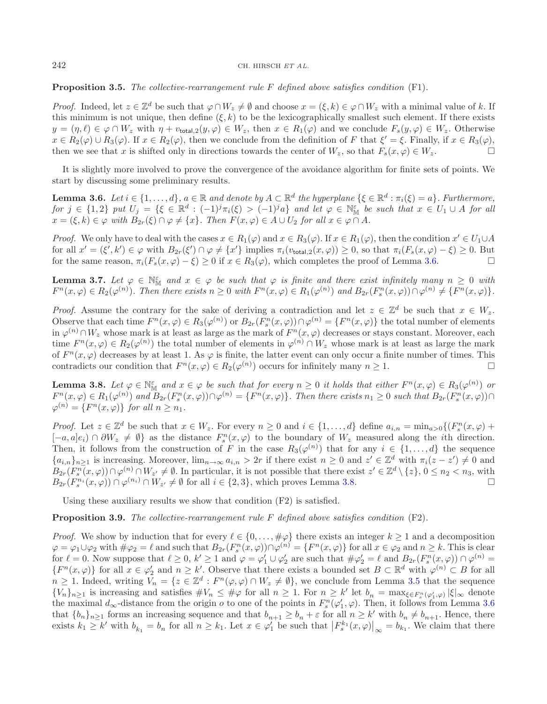#### <span id="page-6-1"></span>242 CH. HIRSCH *ET AL.*

<span id="page-6-3"></span>**Proposition 3.5.** *The collective-rearrangement rule* F *defined above satisfies condition* (F1)*.*

*Proof.* Indeed, let  $z \in \mathbb{Z}^d$  be such that  $\varphi \cap W_z \neq \emptyset$  and choose  $x = (\xi, k) \in \varphi \cap W_z$  with a minimal value of k. If this minimum is not unique, then define  $(\xi, k)$  to be the lexicographically smallest such element. If there exists  $y = (\eta, \ell) \in \varphi \cap W_z$  with  $\eta + v_{\text{total},2}(y, \varphi) \in W_z$ , then  $x \in R_1(\varphi)$  and we conclude  $F_s(y, \varphi) \in W_z$ . Otherwise  $x \in R_2(\varphi) \cup R_3(\varphi)$ . If  $x \in R_2(\varphi)$ , then we conclude from the definition of F that  $\xi' = \xi$ . Finally, if  $x \in R_3(\varphi)$ , then we see that x is shifted only in directions towards the center of  $W_z$ , so that  $F_s(x, \varphi) \in W_z$ .

It is slightly more involved to prove the convergence of the avoidance algorithm for finite sets of points. We start by discussing some preliminary results.

**Lemma 3.6.** *Let*  $i \in \{1, ..., d\}$ *,*  $a \in \mathbb{R}$  *and denote by*  $A \subset \mathbb{R}^d$  *the hyperplane*  $\{\xi \in \mathbb{R}^d : \pi_i(\xi) = a\}$ *. Furthermore,*  $f \circ f$   $j \in \{1,2\}$  *put*  $U_j = \{ \xi \in \mathbb{R}^d : (-1)^j \pi_i(\xi) > (-1)^j a \}$  and let  $\varphi \in \mathbb{N}_{\mathbb{M}}^{\varepsilon}$  be such that  $x \in U_1 \cup A$  for all  $x = (\xi, k) \in \varphi$  *with*  $B_{2r}(\xi) \cap \varphi \neq \{x\}$ . Then  $F(x, \varphi) \in A \cup U_2$  for all  $x \in \varphi \cap A$ .

*Proof.* We only have to deal with the cases  $x \in R_1(\varphi)$  and  $x \in R_3(\varphi)$ . If  $x \in R_1(\varphi)$ , then the condition  $x' \in U_1 \cup A$ for all  $x' = (\xi', k') \in \varphi$  with  $B_{2r}(\xi') \cap \varphi \neq \{x'\}$  implies  $\pi_i(v_{\text{total},2}(x, \varphi)) \geq 0$ , so that  $\pi_i(F_s(x, \varphi) - \xi) \geq 0$ . But for the same reason,  $\pi_i(F_s(x, \varphi) - \xi) \geq 0$  if  $x \in R_3(\varphi)$ , which completes the proof of Lemma [3.6.](#page-6-1)

<span id="page-6-4"></span>**Lemma 3.7.** Let  $\varphi \in \mathbb{N}_{\mathbb{M}}^{\varepsilon}$  and  $x \in \varphi$  be such that  $\varphi$  is finite and there exist infinitely many  $n \geq 0$  with  $F^{n}(x,\varphi) \in R_{2}(\varphi^{(n)})$ . Then there exists  $n \geq 0$  with  $F^{n}(x,\varphi) \in R_{1}(\varphi^{(n)})$  and  $B_{2r}(F_{s}^{n}(x,\varphi)) \cap \varphi^{(n)} \neq \{F^{n}(x,\varphi)\}.$ 

*Proof.* Assume the contrary for the sake of deriving a contradiction and let  $z \in \mathbb{Z}^d$  be such that  $x \in W_z$ . Observe that each time  $F^n(x,\varphi) \in R_3(\varphi^{(n)})$  or  $B_{2r}(F_s^n(x,\varphi)) \cap \varphi^{(n)} = \{F^n(x,\varphi)\}\$ the total number of elements in  $\varphi^{(n)} \cap W_z$  whose mark is at least as large as the mark of  $F^n(x, \varphi)$  decreases or stays constant. Moreover, each time  $F^{n}(x,\varphi) \in R_2(\varphi^{(n)})$  the total number of elements in  $\varphi^{(n)} \cap W_z$  whose mark is at least as large the mark of  $F^n(x, \varphi)$  decreases by at least 1. As  $\varphi$  is finite, the latter event can only occur a finite number of times. This contradicts our condition that  $F^n(x, \varphi) \in R_2(\varphi^{(n)})$  occurs for infinitely many  $n \geq 1$ .

<span id="page-6-2"></span><span id="page-6-0"></span>**Lemma 3.8.** Let  $\varphi \in \mathbb{N}_{\mathbb{M}}^{\varepsilon}$  and  $x \in \varphi$  be such that for every  $n \geq 0$  it holds that either  $F^{n}(x, \varphi) \in R_{3}(\varphi^{(n)})$  or  $F^{n}(x,\varphi) \in R_{1}(\varphi^{(n)})$  and  $B_{2r}(F^{n}(x,\varphi)) \cap \varphi^{(n)} = \{F^{n}(x,\varphi)\}\.$  Then there exists  $n_{1} \geq 0$  such that  $B_{2r}(F^{n}_{s}(x,\varphi)) \cap$  $\varphi^{(n)} = \{F^n(x, \varphi)\}\$  *for all*  $n \geq n_1$ *.* 

*Proof.* Let  $z \in \mathbb{Z}^d$  be such that  $x \in W_z$ . For every  $n \geq 0$  and  $i \in \{1, ..., d\}$  define  $a_{i,n} = \min_{a>0} \{ (F_s^n(x, \varphi) + F_s^n(x, \varphi)) \}$  $[-a,a]e_i$ ) ∩  $\partial W_z \neq \emptyset$  as the distance  $F_s^n(x,\varphi)$  to the boundary of  $W_z$  measured along the *i*th direction. Then, it follows from the construction of F in the case  $R_3(\varphi^{(n)})$  that for any  $i \in \{1,\ldots,d\}$  the sequence  ${a_{i,n}}_{n\geq 1}$  is increasing. Moreover,  $\lim_{n\to\infty} a_{i,n} > 2r$  if there exist  $n \geq 0$  and  $z' \in \mathbb{Z}^d$  with  $\pi_i(z-z') \neq 0$  and  $B_{2r}(F_s^n(x,\varphi))\cap\varphi^{(n)}\cap W_{z'}\neq\emptyset$ . In particular, it is not possible that there exist  $z'\in\mathbb{Z}^d\setminus\{z\}, 0\leq n_2 < n_3$ , with  $B_{2r}(F_s^{n_i}(x,\varphi)) \cap \varphi^{(n_i)} \cap W_{z'} \neq \emptyset$  for all  $i \in \{2,3\}$ , which proves Lemma [3.8.](#page-6-2)

Using these auxiliary results we show that condition (F2) is satisfied.

**Proposition 3.9.** *The collective-rearrangement rule* F *defined above satisfies condition* (F2)*.*

*Proof.* We show by induction that for every  $\ell \in \{0, \ldots, \#\varphi\}$  there exists an integer  $k \geq 1$  and a decomposition  $\varphi = \varphi_1 \cup \varphi_2$  with  $\#\varphi_2 = \ell$  and such that  $B_{2r}(F_s^n(x, \varphi)) \cap \varphi^{(n)} = \{F^n(x, \varphi)\}\$  for all  $x \in \varphi_2$  and  $n \geq k$ . This is clear for  $\ell = 0$ . Now suppose that  $\ell \geq 0$ ,  $k' \geq 1$  and  $\varphi = \varphi'_1 \cup \varphi'_2$  are such that  $\#\varphi'_2 = \ell$  and  $B_{2r}(F_s^n(x, \varphi)) \cap \varphi^{(n)} =$  ${F^n(x, \varphi)}$  for all  $x \in \varphi'_2$  and  $n \geq k'$ . Observe that there exists a bounded set  $B \subset \mathbb{R}^d$  with  $\varphi^{(n)} \subset B$  for all  $n \geq 1$ . Indeed, writing  $V_n = \{z \in \mathbb{Z}^d : F^n(\varphi, \varphi) \cap W_z \neq \emptyset\}$ , we conclude from Lemma [3.5](#page-6-3) that the sequence  ${V_n}_{n\geq 1}$  is increasing and satisfies  $\#V_n \leq \#\varphi$  for all  $n \geq 1$ . For  $n \geq k'$  let  $b_n = \max_{\xi \in F_n^n(\varphi'_1, \varphi)} |\xi|_{\infty}$  denote the maximal  $d_{\infty}$ -distance from the origin  $o$  to one of the points in  $F_s^n(\varphi_1', \varphi)$ . Then, it follows from Lemma [3.6](#page-6-1) that  ${b_n}_{n \geq 1}$  forms an increasing sequence and that  $b_{n+1} \geq b_n + \varepsilon$  for all  $n \geq k'$  with  $b_n \neq b_{n+1}$ . Hence, there exists  $k_1 \ge k'$  with  $b_{k_1} = b_n$  for all  $n \ge k_1$ . Let  $x \in \varphi'_1$  be such that  $\left|F_s^{k_1}(x, \varphi)\right|_{\infty} = b_{k_1}$ . We claim that there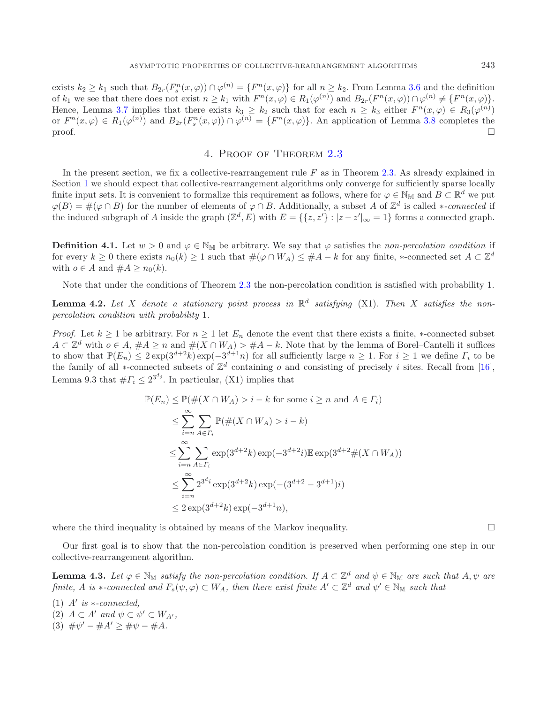exists  $k_2 \geq k_1$  such that  $B_{2r}(F_s^n(x,\varphi)) \cap \varphi^{(n)} = \{F^n(x,\varphi)\}\$ for all  $n \geq k_2$ . From Lemma [3.6](#page-6-1) and the definition of  $k_1$  we see that there does not exist  $n \geq k_1$  with  $F^n(x, \varphi) \in R_1(\varphi^{(n)})$  and  $B_{2r}(F^n(x, \varphi)) \cap \varphi^{(n)} \neq \{F^n(x, \varphi)\}.$ Hence, Lemma [3.7](#page-6-4) implies that there exists  $k_3 \geq k_2$  such that for each  $n \geq k_3$  either  $F^n(x, \varphi) \in R_3(\varphi^{(n)})$ or  $F^n(x,\varphi) \in R_1(\varphi^{(n)})$  and  $B_{2r}(F_s^n(x,\varphi)) \cap \varphi^{(n)} = \{F^n(x,\varphi)\}\.$  An application of Lemma [3.8](#page-6-2) completes the  $\Box$ 

# 4. Proof of Theorem [2.3](#page-2-0)

<span id="page-7-0"></span>In the present section, we fix a collective-rearrangement rule  $F$  as in Theorem [2.3.](#page-2-0) As already explained in Section [1](#page-0-0) we should expect that collective-rearrangement algorithms only converge for sufficiently sparse locally finite input sets. It is convenient to formalize this requirement as follows, where for  $\varphi \in \mathbb{N}_M$  and  $B \subset \mathbb{R}^d$  we put  $\varphi(B) = \#(\varphi \cap B)$  for the number of elements of  $\varphi \cap B$ . Additionally, a subset A of  $\mathbb{Z}^d$  is called \**-connected* if the induced subgraph of A inside the graph  $(\mathbb{Z}^d, E)$  with  $E = \{\{z, z'\} : |z - z'|_{\infty} = 1\}$  forms a connected graph.

**Definition 4.1.** Let  $w > 0$  and  $\varphi \in \mathbb{N}_M$  be arbitrary. We say that  $\varphi$  satisfies the *non-percolation condition* if for every  $k \geq 0$  there exists  $n_0(k) \geq 1$  such that  $\#(\varphi \cap W_A) \leq \#A - k$  for any finite, \*-connected set  $A \subset \mathbb{Z}^d$ with  $o \in A$  and  $\#A \geq n_0(k)$ .

Note that under the conditions of Theorem [2.3](#page-2-0) the non-percolation condition is satisfied with probability 1.

<span id="page-7-2"></span>**Lemma 4.2.** Let X denote a stationary point process in  $\mathbb{R}^d$  satisfying (X1). Then X satisfies the non*percolation condition with probability* 1*.*

*Proof.* Let  $k \geq 1$  be arbitrary. For  $n \geq 1$  let  $E_n$  denote the event that there exists a finite, \*-connected subset  $A \subset \mathbb{Z}^d$  with  $o \in A$ ,  $\#A \geq n$  and  $\#(X \cap W_A) > \#A - k$ . Note that by the lemma of Borel–Cantelli it suffices to show that  $\mathbb{P}(E_n) \leq 2 \exp(3^{d+2}k) \exp(-3^{d+1}n)$  for all sufficiently large  $n \geq 1$ . For  $i \geq 1$  we define  $\Gamma_i$  to be the family of all ∗-connected subsets of  $\mathbb{Z}^d$  containing o and consisting of precisely i sites. Recall from [\[16](#page-14-14)], Lemma 9.3 that  $# \Gamma_i \leq 2^{3^d i}$ . In particular, (X1) implies that

$$
\mathbb{P}(E_n) \le \mathbb{P}(\#(X \cap W_A) > i - k \text{ for some } i \ge n \text{ and } A \in \Gamma_i)
$$
  
\n
$$
\le \sum_{i=n}^{\infty} \sum_{A \in \Gamma_i} \mathbb{P}(\#(X \cap W_A) > i - k)
$$
  
\n
$$
\le \sum_{i=n}^{\infty} \sum_{A \in \Gamma_i} \exp(3^{d+2}k) \exp(-3^{d+2}i) \mathbb{E} \exp(3^{d+2} \#(X \cap W_A))
$$
  
\n
$$
\le \sum_{i=n}^{\infty} 2^{3^{d_i}} \exp(3^{d+2}k) \exp(-(3^{d+2} - 3^{d+1})i)
$$
  
\n
$$
\le 2 \exp(3^{d+2}k) \exp(-3^{d+1}n),
$$

where the third inequality is obtained by means of the Markov inequality.  $\Box$ 

Our first goal is to show that the non-percolation condition is preserved when performing one step in our collective-rearrangement algorithm.

<span id="page-7-1"></span>**Lemma 4.3.** Let  $\varphi \in \mathbb{N}_M$  *satisfy the non-percolation condition. If*  $A \subset \mathbb{Z}^d$  *and*  $\psi \in \mathbb{N}_M$  *are such that*  $A, \psi$  *are finite,* A *is* ∗*-connected and*  $F_s(\psi, \varphi) \subset W_A$ *, then there exist finite*  $A' \subset \mathbb{Z}^d$  *and*  $\psi' \in \mathbb{N}_M$  *such that* 

 $(1)$  *A' is*  $*$ *-connected,* 

(2)  $A \subset A'$  and  $\psi \subset \psi' \subset W_{A'}$ ,

(3)  $\#\psi' - \#A' > \#\psi - \#A$ .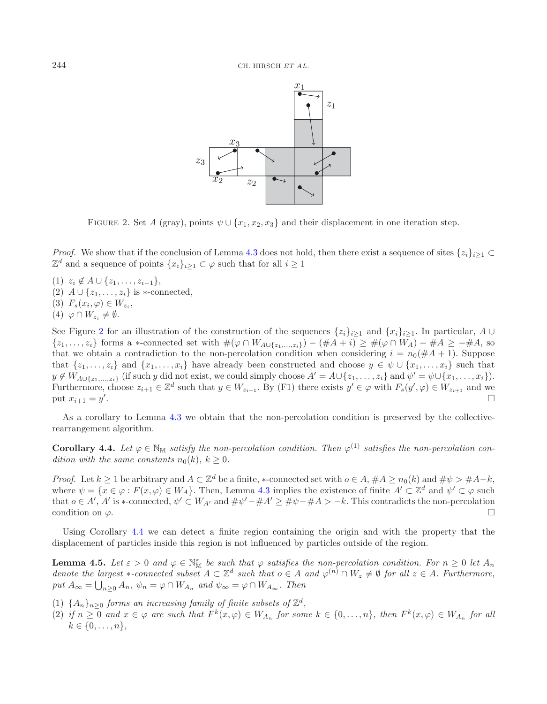<span id="page-8-0"></span>

FIGURE 2. Set A (gray), points  $\psi \cup \{x_1, x_2, x_3\}$  and their displacement in one iteration step.

*Proof.* We show that if the conclusion of Lemma [4.3](#page-7-1) does not hold, then there exist a sequence of sites  $\{z_i\}_{i\geq 1}$  $\mathbb{Z}^d$  and a sequence of points  $\{x_i\}_{i>1} \subset \varphi$  such that for all  $i \geq 1$ 

- (1)  $z_i \notin A \cup \{z_1,\ldots,z_{i-1}\},\$
- (2)  $A \cup \{z_1,\ldots,z_i\}$  is ∗-connected,
- (3)  $F_s(x_i, \varphi) \in W_{z_i}$ ,
- $(4) \varphi \cap W_{z_i} \neq \emptyset.$

See Figure [2](#page-8-0) for an illustration of the construction of the sequences  $\{z_i\}_{i\geq 1}$  and  $\{x_i\}_{i\geq 1}$ . In particular, A ∪  $\{z_1,\ldots,z_i\}$  forms a ∗-connected set with  $\#(\varphi \cap W_{A\cup \{z_1,\ldots,z_i\}}) - (\#A + i) \geq \#(\varphi \cap W_A) - \#A \geq -\#A$ , so that we obtain a contradiction to the non-percolation condition when considering  $i = n_0(\#A + 1)$ . Suppose that  $\{z_1,\ldots,z_i\}$  and  $\{x_1,\ldots,x_i\}$  have already been constructed and choose  $y \in \psi \cup \{x_1,\ldots,x_i\}$  such that  $y \notin W_{A \cup \{z_1,\ldots,z_i\}}$  (if such y did not exist, we could simply choose  $A' = A \cup \{z_1,\ldots,z_i\}$  and  $\psi' = \psi \cup \{x_1,\ldots,x_i\}$ ). Furthermore, choose  $z_{i+1} \in \mathbb{Z}^d$  such that  $y \in W_{z_{i+1}}$ . By (F1) there exists  $y' \in \varphi$  with  $F_s(y', \varphi) \in W_{z_{i+1}}$  and we put  $x_{i+1} = y'$ . . The contract of the contract of the contract of the contract of the contract of  $\Box$ 

<span id="page-8-1"></span>As a corollary to Lemma [4.3](#page-7-1) we obtain that the non-percolation condition is preserved by the collectiverearrangement algorithm.

**Corollary 4.4.** Let  $\varphi \in \mathbb{N}_M$  *satisfy the non-percolation condition. Then*  $\varphi^{(1)}$  *satisfies the non-percolation condition with the same constants*  $n_0(k)$ ,  $k \geq 0$ .

*Proof.* Let  $k \geq 1$  be arbitrary and  $A \subset \mathbb{Z}^d$  be a finite, \*-connected set with  $o \in A$ ,  $\#A \geq n_0(k)$  and  $\#\psi > \#A-k$ , where  $\psi = \{x \in \varphi : F(x, \varphi) \in W_A\}$ . Then, Lemma [4.3](#page-7-1) implies the existence of finite  $A' \subset \mathbb{Z}^d$  and  $\psi' \subset \varphi$  such that  $o \in A', A'$  is \*-connected,  $\psi' \subset W_{A'}$  and  $\#\psi' - \#A' \geq \#\psi - \#A > -k$ . This contradicts the non-percolation condition on  $\varphi$ .

<span id="page-8-2"></span>Using Corollary [4.4](#page-8-1) we can detect a finite region containing the origin and with the property that the displacement of particles inside this region is not influenced by particles outside of the region.

**Lemma 4.5.** Let  $\varepsilon > 0$  and  $\varphi \in \mathbb{N}_{\mathbb{M}}^{\varepsilon}$  be such that  $\varphi$  satisfies the non-percolation condition. For  $n \geq 0$  let  $A_n$ *denote the largest*  $*$ -connected subset  $A \subset \mathbb{Z}^d$  such that  $o \in A$  and  $\varphi^{(n)} \cap W_z \neq \emptyset$  for all  $z \in A$ . Furthermore,  $put A_{\infty} = \bigcup_{n \geq 0} A_n$ ,  $\psi_n = \varphi \cap W_{A_n}$  *and*  $\psi_{\infty} = \varphi \cap W_{A_{\infty}}$ *. Then* 

- (1)  $\{A_n\}_{n>0}$  *forms an increasing family of finite subsets of*  $\mathbb{Z}^d$ *,*
- (2) if  $n \geq 0$  and  $x \in \varphi$  are such that  $F^k(x, \varphi) \in W_{A_n}$  for some  $k \in \{0, \ldots, n\}$ , then  $F^k(x, \varphi) \in W_{A_n}$  for all  $k \in \{0, \ldots, n\},\$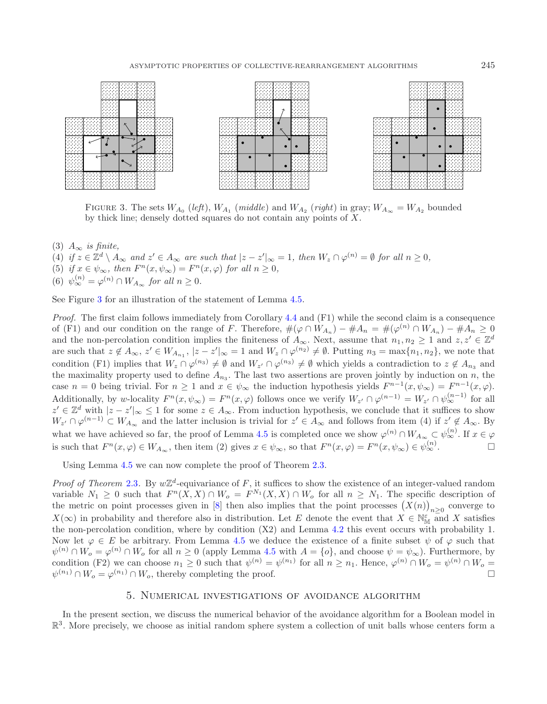<span id="page-9-1"></span>

FIGURE 3. The sets  $W_{A_0}$  (*left*),  $W_{A_1}$  (*middle*) and  $W_{A_2}$  (*right*) in gray;  $W_{A_\infty} = W_{A_2}$  bounded by thick line; densely dotted squares do not contain any points of X.

- (3) A<sup>∞</sup> *is finite,*
- $(4)$  *if*  $z \in \mathbb{Z}^d \setminus A_\infty$  *and*  $z' \in A_\infty$  *are such that*  $|z z'|_\infty = 1$ *, then*  $W_z \cap \varphi^{(n)} = \emptyset$  *for all*  $n \ge 0$ *,*
- (5) *if*  $x \in \psi_{\infty}$ *, then*  $F^n(x, \psi_{\infty}) = F^n(x, \varphi)$  *for all*  $n \geq 0$ *,*
- (6)  $\psi_{\infty}^{(n)} = \varphi^{(n)} \cap W_{A_{\infty}}$  *for all*  $n \geq 0$ *.*

See Figure [3](#page-9-1) for an illustration of the statement of Lemma [4.5.](#page-8-2)

*Proof.* The first claim follows immediately from Corollary [4.4](#page-8-1) and (F1) while the second claim is a consequence of (F1) and our condition on the range of F. Therefore,  $\#(\varphi \cap W_{A_n}) - \#A_n = \#(\varphi^{(n)} \cap W_{A_n}) - \#A_n \geq 0$ and the non-percolation condition implies the finiteness of  $A_{\infty}$ . Next, assume that  $n_1, n_2 \geq 1$  and  $z, z' \in \mathbb{Z}^d$ are such that  $z \notin A_{\infty}$ ,  $z' \in W_{A_{n_1}}$ ,  $|z - z'|_{\infty} = 1$  and  $W_z \cap \varphi^{(n_2)} \neq \emptyset$ . Putting  $n_3 = \max\{n_1, n_2\}$ , we note that condition (F1) implies that  $W_z \cap \varphi^{(n_3)} \neq \emptyset$  and  $W_{z'} \cap \varphi^{(n_3)} \neq \emptyset$  which yields a contradiction to  $z \notin A_{n_3}$  and the maximality property used to define  $A_{n_3}$ . The last two assertions are proven jointly by induction on n, the case  $n = 0$  being trivial. For  $n \ge 1$  and  $x \in \psi_{\infty}$  the induction hypothesis yields  $F^{n-1}(x, \psi_{\infty}) = F^{n-1}(x, \varphi)$ . Additionally, by w-locality  $F^n(x, \psi_\infty) = F^n(x, \varphi)$  follows once we verify  $W_{z'} \cap \varphi^{(n-1)} = W_{z'} \cap \psi_\infty^{(n-1)}$  for all  $z' \in \mathbb{Z}^d$  with  $|z - z'|_{\infty} \leq 1$  for some  $z \in A_{\infty}$ . From induction hypothesis, we conclude that it suffices to show  $W_{z'} \cap \varphi^{(n-1)} \subset W_{A_{\infty}}$  and the latter inclusion is trivial for  $z' \in A_{\infty}$  and follows from item (4) if  $z' \notin A_{\infty}$ . By what we have achieved so far, the proof of Lemma [4.5](#page-8-2) is completed once we show  $\varphi^{(n)} \cap W_{A_{\infty}} \subset \psi_{\infty}^{(n)}$ . If  $x \in \varphi$ is such that  $F^n(x, \varphi) \in W_{A_{\infty}}$ , then item (2) gives  $x \in \psi_{\infty}$ , so that  $F^n(x, \varphi) = F^n(x, \psi_{\infty}) \in \psi_{\infty}^{(n)}$ .

Using Lemma [4.5](#page-8-2) we can now complete the proof of Theorem [2.3.](#page-2-0)

*Proof of Theorem* [2.3](#page-2-0). By  $w\mathbb{Z}^d$ -equivariance of F, it suffices to show the existence of an integer-valued random variable  $N_1 \geq 0$  such that  $F^n(X, X) \cap W_o = F^{N_1}(X, X) \cap W_o$  for all  $n \geq N_1$ . The specific description of the metric on point processes given in [\[8](#page-14-15)] then also implies that the point processes  $(X(n))_{n\geq 0}$  converge to  $X(\infty)$  in probability and therefore also in distribution. Let E denote the event that  $X \in \mathbb{N}_{\mathbb{M}}^{\varepsilon}$  and X satisfies the non-percolation condition, where by condition (X2) and Lemma [4.2](#page-7-2) this event occurs with probability 1. Now let  $\varphi \in E$  be arbitrary. From Lemma [4.5](#page-8-2) we deduce the existence of a finite subset  $\psi$  of  $\varphi$  such that  $\psi^{(n)} \cap W_o = \varphi^{(n)} \cap W_o$  for all  $n \geq 0$  (apply Lemma [4.5](#page-8-2) with  $A = \{o\}$ , and choose  $\psi = \psi_{\infty}$ ). Furthermore, by condition (F2) we can choose  $n_1 \geq 0$  such that  $\psi^{(n)} = \psi^{(n_1)}$  for all  $n \geq n_1$ . Hence,  $\varphi^{(n)} \cap W_o = \psi^{(n)} \cap W_o =$  $\psi^{(n_1)} \cap W_o = \varphi^{(n_1)} \cap W_o$ , thereby completing the proof.

## 5. Numerical investigations of avoidance algorithm

<span id="page-9-0"></span>In the present section, we discuss the numerical behavior of the avoidance algorithm for a Boolean model in  $\mathbb{R}^3$ . More precisely, we choose as initial random sphere system a collection of unit balls whose centers form a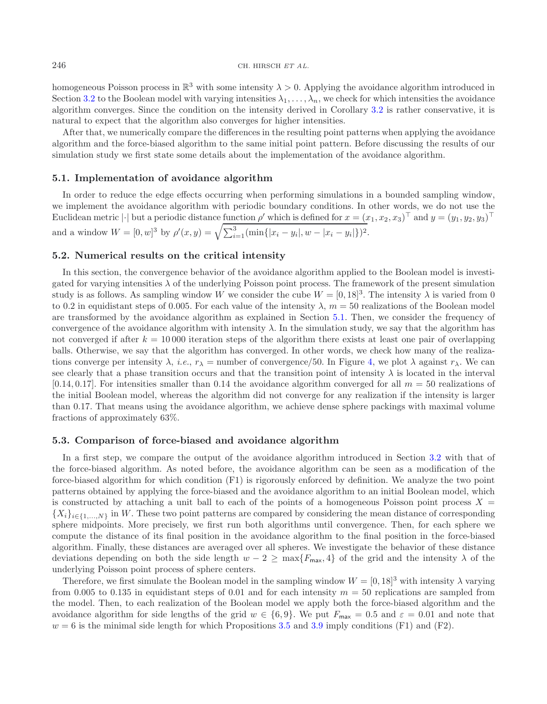homogeneous Poisson process in  $\mathbb{R}^3$  with some intensity  $\lambda > 0$ . Applying the avoidance algorithm introduced in Section [3.2](#page-4-0) to the Boolean model with varying intensities  $\lambda_1,\ldots,\lambda_n$ , we check for which intensities the avoidance algorithm converges. Since the condition on the intensity derived in Corollary [3.2](#page-3-2) is rather conservative, it is natural to expect that the algorithm also converges for higher intensities.

After that, we numerically compare the differences in the resulting point patterns when applying the avoidance algorithm and the force-biased algorithm to the same initial point pattern. Before discussing the results of our simulation study we first state some details about the implementation of the avoidance algorithm.

## <span id="page-10-0"></span>**5.1. Implementation of avoidance algorithm**

In order to reduce the edge effects occurring when performing simulations in a bounded sampling window, we implement the avoidance algorithm with periodic boundary conditions. In other words, we do not use the Euclidean metric | $\cdot$ | but a periodic distance function  $\rho'$  which is defined for  $x = (x_1, x_2, x_3)^\top$  and  $y = (y_1, y_2, y_3)^\top$ and a window  $W = [0, w]^3$  by  $\rho'(x, y) = \sqrt{\sum_{i=1}^3 (\min\{|x_i - y_i|, w - |x_i - y_i|\})^2}$ .

### **5.2. Numerical results on the critical intensity**

In this section, the convergence behavior of the avoidance algorithm applied to the Boolean model is investigated for varying intensities  $\lambda$  of the underlying Poisson point process. The framework of the present simulation study is as follows. As sampling window W we consider the cube  $W = [0, 18]^3$ . The intensity  $\lambda$  is varied from 0 to 0.2 in equidistant steps of 0.005. For each value of the intensity  $\lambda$ ,  $m = 50$  realizations of the Boolean model are transformed by the avoidance algorithm as explained in Section [5.1.](#page-10-0) Then, we consider the frequency of convergence of the avoidance algorithm with intensity  $\lambda$ . In the simulation study, we say that the algorithm has not converged if after  $k = 10000$  iteration steps of the algorithm there exists at least one pair of overlapping balls. Otherwise, we say that the algorithm has converged. In other words, we check how many of the realizations converge per intensity  $\lambda$ , *i.e.*,  $r_{\lambda}$  = number of convergence/50. In Figure [4,](#page-11-1) we plot  $\lambda$  against  $r_{\lambda}$ . We can see clearly that a phase transition occurs and that the transition point of intensity  $\lambda$  is located in the interval  $[0.14, 0.17]$ . For intensities smaller than 0.14 the avoidance algorithm converged for all  $m = 50$  realizations of the initial Boolean model, whereas the algorithm did not converge for any realization if the intensity is larger than 0.17. That means using the avoidance algorithm, we achieve dense sphere packings with maximal volume fractions of approximately 63%.

#### **5.3. Comparison of force-biased and avoidance algorithm**

In a first step, we compare the output of the avoidance algorithm introduced in Section [3.2](#page-4-0) with that of the force-biased algorithm. As noted before, the avoidance algorithm can be seen as a modification of the force-biased algorithm for which condition (F1) is rigorously enforced by definition. We analyze the two point patterns obtained by applying the force-biased and the avoidance algorithm to an initial Boolean model, which is constructed by attaching a unit ball to each of the points of a homogeneous Poisson point process  $X =$  ${X_i}_{i\in{1,...,N}}$  in W. These two point patterns are compared by considering the mean distance of corresponding sphere midpoints. More precisely, we first run both algorithms until convergence. Then, for each sphere we compute the distance of its final position in the avoidance algorithm to the final position in the force-biased algorithm. Finally, these distances are averaged over all spheres. We investigate the behavior of these distance deviations depending on both the side length  $w - 2 \ge \max\{F_{\text{max}}, 4\}$  of the grid and the intensity  $\lambda$  of the underlying Poisson point process of sphere centers.

Therefore, we first simulate the Boolean model in the sampling window  $W = [0, 18]^3$  with intensity  $\lambda$  varying from 0.005 to 0.135 in equidistant steps of 0.01 and for each intensity  $m = 50$  replications are sampled from the model. Then, to each realization of the Boolean model we apply both the force-biased algorithm and the avoidance algorithm for side lengths of the grid  $w \in \{6, 9\}$ . We put  $F_{\text{max}} = 0.5$  and  $\varepsilon = 0.01$  and note that  $w = 6$  is the minimal side length for which Propositions [3.5](#page-6-3) and [3.9](#page-6-0) imply conditions (F1) and (F2).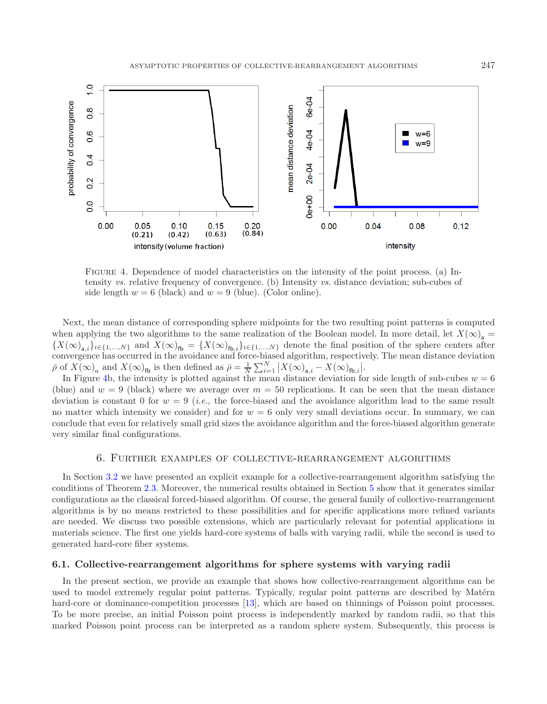<span id="page-11-1"></span>

Figure 4. Dependence of model characteristics on the intensity of the point process. (a) Intensity *vs.* relative frequency of convergence. (b) Intensity *vs.* distance deviation; sub-cubes of side length  $w = 6$  (black) and  $w = 9$  (blue). (Color online).

Next, the mean distance of corresponding sphere midpoints for the two resulting point patterns is computed when applying the two algorithms to the same realization of the Boolean model. In more detail, let  $X(\infty)$ , =  ${X(\infty)_{\mathbf{a},i}}_{i\in\{1,\ldots,N\}}$  and  $X(\infty)_{\mathbf{fb}} = {X(\infty)_{\mathbf{fb},i}}_{i\in\{1,\ldots,N\}}$  denote the final position of the sphere centers after convergence has occurred in the avoidance and force-biased algorithm, respectively. The mean distance deviation  $\overline{\rho}$  of  $X(\infty)_a$  and  $X(\infty)_{\text{fb}}$  is then defined as  $\overline{\rho} = \frac{1}{N} \sum_{i=1}^N |X(\infty)_{\mathbf{a},i} - X(\infty)_{\text{fb},i}|.$ 

In Figure [4b](#page-11-1), the intensity is plotted against the mean distance deviation for side length of sub-cubes  $w = 6$ (blue) and  $w = 9$  (black) where we average over  $m = 50$  replications. It can be seen that the mean distance deviation is constant 0 for  $w = 9$  *(i.e., the force-biased and the avoidance algorithm lead to the same result* no matter which intensity we consider) and for  $w = 6$  only very small deviations occur. In summary, we can conclude that even for relatively small grid sizes the avoidance algorithm and the force-biased algorithm generate very similar final configurations.

# 6. Further examples of collective-rearrangement algorithms

<span id="page-11-0"></span>In Section [3.2](#page-4-0) we have presented an explicit example for a collective-rearrangement algorithm satisfying the conditions of Theorem [2.3.](#page-2-0) Moreover, the numerical results obtained in Section [5](#page-9-0) show that it generates similar configurations as the classical forced-biased algorithm. Of course, the general family of collective-rearrangement algorithms is by no means restricted to these possibilities and for specific applications more refined variants are needed. We discuss two possible extensions, which are particularly relevant for potential applications in materials science. The first one yields hard-core systems of balls with varying radii, while the second is used to generated hard-core fiber systems.

## **6.1. Collective-rearrangement algorithms for sphere systems with varying radii**

In the present section, we provide an example that shows how collective-rearrangement algorithms can be used to model extremely regular point patterns. Typically, regular point patterns are described by Matérn hard-core or dominance-competition processes [\[13\]](#page-14-9), which are based on thinnings of Poisson point processes. To be more precise, an initial Poisson point process is independently marked by random radii, so that this marked Poisson point process can be interpreted as a random sphere system. Subsequently, this process is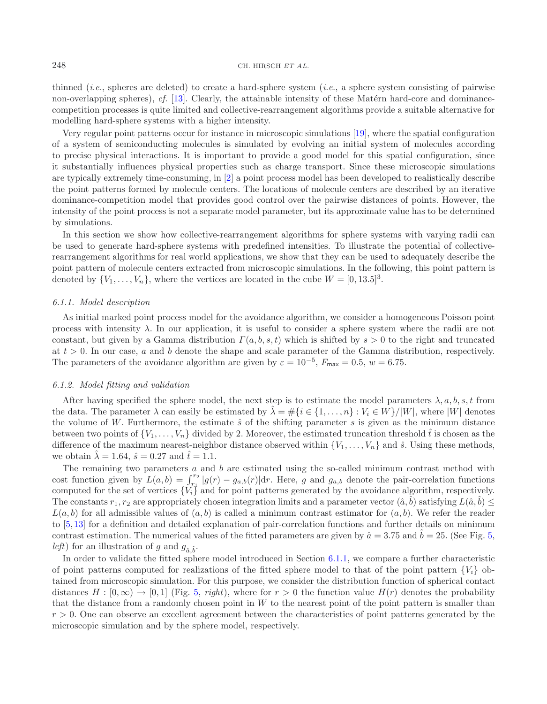thinned (*i.e.*, spheres are deleted) to create a hard-sphere system (*i.e.*, a sphere system consisting of pairwise non-overlapping spheres), *cf.* [\[13](#page-14-9)]. Clearly, the attainable intensity of these Matérn hard-core and dominancecompetition processes is quite limited and collective-rearrangement algorithms provide a suitable alternative for modelling hard-sphere systems with a higher intensity.

Very regular point patterns occur for instance in microscopic simulations [\[19\]](#page-14-16), where the spatial configuration of a system of semiconducting molecules is simulated by evolving an initial system of molecules according to precise physical interactions. It is important to provide a good model for this spatial configuration, since it substantially influences physical properties such as charge transport. Since these microscopic simulations are typically extremely time-consuming, in [\[2](#page-13-1)] a point process model has been developed to realistically describe the point patterns formed by molecule centers. The locations of molecule centers are described by an iterative dominance-competition model that provides good control over the pairwise distances of points. However, the intensity of the point process is not a separate model parameter, but its approximate value has to be determined by simulations.

In this section we show how collective-rearrangement algorithms for sphere systems with varying radii can be used to generate hard-sphere systems with predefined intensities. To illustrate the potential of collectiverearrangement algorithms for real world applications, we show that they can be used to adequately describe the point pattern of molecule centers extracted from microscopic simulations. In the following, this point pattern is denoted by  $\{V_1,\ldots,V_n\}$ , where the vertices are located in the cube  $W = [0, 13.5]^3$ .

#### <span id="page-12-0"></span>*6.1.1. Model description*

As initial marked point process model for the avoidance algorithm, we consider a homogeneous Poisson point process with intensity  $\lambda$ . In our application, it is useful to consider a sphere system where the radii are not constant, but given by a Gamma distribution  $\Gamma(a, b, s, t)$  which is shifted by  $s > 0$  to the right and truncated at  $t > 0$ . In our case, a and b denote the shape and scale parameter of the Gamma distribution, respectively. The parameters of the avoidance algorithm are given by  $\varepsilon = 10^{-5}$ ,  $F_{\text{max}} = 0.5$ ,  $w = 6.75$ .

#### *6.1.2. Model fitting and validation*

After having specified the sphere model, the next step is to estimate the model parameters  $\lambda, a, b, s, t$  from the data. The parameter  $\lambda$  can easily be estimated by  $\lambda = \#\{i \in \{1,\ldots,n\} : V_i \in W\}/|W|$ , where  $|W|$  denotes the volume of W. Furthermore, the estimate  $\hat{s}$  of the shifting parameter s is given as the minimum distance between two points of  $\{V_1,\ldots,V_n\}$  divided by 2. Moreover, the estimated truncation threshold  $\hat{t}$  is chosen as the difference of the maximum nearest-neighbor distance observed within  $\{V_1,\ldots,V_n\}$  and  $\hat{s}$ . Using these methods, we obtain  $\hat{\lambda} = 1.64$ ,  $\hat{s} = 0.27$  and  $\hat{t} = 1.1$ .

The remaining two parameters  $a$  and  $b$  are estimated using the so-called minimum contrast method with cost function given by  $L(a, b) = \int_{r_1}^{r_2} |g(r) - g_{a,b}(r)| dr$ . Here, g and  $g_{a,b}$  denote the pair-correlation functions computed for the set of vertices  ${V_i}$  and for point patterns generated by the avoidance algorithm, respectively. The constants  $r_1, r_2$  are appropriately chosen integration limits and a parameter vector  $(\hat{a}, \hat{b})$  satisfying  $L(\hat{a}, \hat{b})$  $L(a, b)$  for all admissible values of  $(a, b)$  is called a minimum contrast estimator for  $(a, b)$ . We refer the reader to [\[5,](#page-14-17)[13\]](#page-14-9) for a definition and detailed explanation of pair-correlation functions and further details on minimum contrast estimation. The numerical values of the fitted parameters are given by  $\hat{a} = 3.75$  and  $\hat{b} = 25$ . (See Fig. [5,](#page-13-2) *left*) for an illustration of g and  $g_{\hat{a}, \hat{b}}$ .

In order to validate the fitted sphere model introduced in Section [6.1.1,](#page-12-0) we compare a further characteristic of point patterns computed for realizations of the fitted sphere model to that of the point pattern  $\{V_i\}$  obtained from microscopic simulation. For this purpose, we consider the distribution function of spherical contact distances  $H : [0, \infty) \to [0, 1]$  (Fig. [5,](#page-13-2) *right*), where for  $r > 0$  the function value  $H(r)$  denotes the probability that the distance from a randomly chosen point in  $W$  to the nearest point of the point pattern is smaller than  $r > 0$ . One can observe an excellent agreement between the characteristics of point patterns generated by the microscopic simulation and by the sphere model, respectively.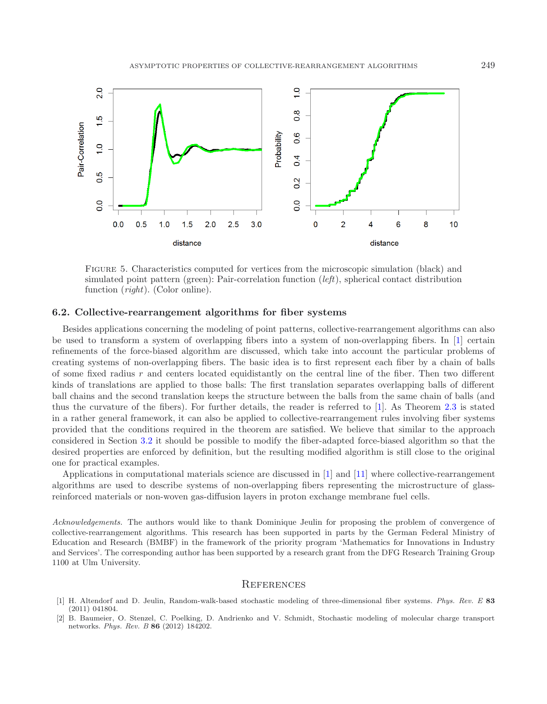<span id="page-13-2"></span>

Figure 5. Characteristics computed for vertices from the microscopic simulation (black) and simulated point pattern (green): Pair-correlation function (*left*), spherical contact distribution function (*right*). (Color online).

# **6.2. Collective-rearrangement algorithms for fiber systems**

Besides applications concerning the modeling of point patterns, collective-rearrangement algorithms can also be used to transform a system of overlapping fibers into a system of non-overlapping fibers. In [\[1](#page-13-0)] certain refinements of the force-biased algorithm are discussed, which take into account the particular problems of creating systems of non-overlapping fibers. The basic idea is to first represent each fiber by a chain of balls of some fixed radius r and centers located equidistantly on the central line of the fiber. Then two different kinds of translations are applied to those balls: The first translation separates overlapping balls of different ball chains and the second translation keeps the structure between the balls from the same chain of balls (and thus the curvature of the fibers). For further details, the reader is referred to [\[1\]](#page-13-0). As Theorem [2.3](#page-2-0) is stated in a rather general framework, it can also be applied to collective-rearrangement rules involving fiber systems provided that the conditions required in the theorem are satisfied. We believe that similar to the approach considered in Section [3.2](#page-4-0) it should be possible to modify the fiber-adapted force-biased algorithm so that the desired properties are enforced by definition, but the resulting modified algorithm is still close to the original one for practical examples.

Applications in computational materials science are discussed in [\[1](#page-13-0)] and [\[11\]](#page-14-18) where collective-rearrangement algorithms are used to describe systems of non-overlapping fibers representing the microstructure of glassreinforced materials or non-woven gas-diffusion layers in proton exchange membrane fuel cells.

*Acknowledgements.* The authors would like to thank Dominique Jeulin for proposing the problem of convergence of collective-rearrangement algorithms. This research has been supported in parts by the German Federal Ministry of Education and Research (BMBF) in the framework of the priority program 'Mathematics for Innovations in Industry and Services'. The corresponding author has been supported by a research grant from the DFG Research Training Group 1100 at Ulm University.

#### **REFERENCES**

- <span id="page-13-0"></span>[1] H. Altendorf and D. Jeulin, Random-walk-based stochastic modeling of three-dimensional fiber systems. *Phys. Rev. E* **83** (2011) 041804.
- <span id="page-13-1"></span>[2] B. Baumeier, O. Stenzel, C. Poelking, D. Andrienko and V. Schmidt, Stochastic modeling of molecular charge transport networks. *Phys. Rev. B* **86** (2012) 184202.